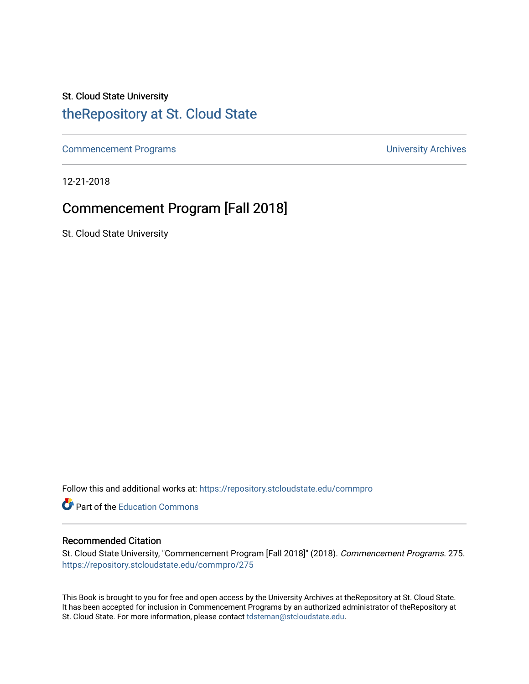## St. Cloud State University

## [theRepository at St. Cloud State](https://repository.stcloudstate.edu/)

[Commencement Programs](https://repository.stcloudstate.edu/commpro) **Commencement Programs University Archives** 

12-21-2018

## Commencement Program [Fall 2018]

St. Cloud State University

Follow this and additional works at: [https://repository.stcloudstate.edu/commpro](https://repository.stcloudstate.edu/commpro?utm_source=repository.stcloudstate.edu%2Fcommpro%2F275&utm_medium=PDF&utm_campaign=PDFCoverPages) 

Part of the [Education Commons](http://network.bepress.com/hgg/discipline/784?utm_source=repository.stcloudstate.edu%2Fcommpro%2F275&utm_medium=PDF&utm_campaign=PDFCoverPages)

## Recommended Citation

St. Cloud State University, "Commencement Program [Fall 2018]" (2018). Commencement Programs. 275. [https://repository.stcloudstate.edu/commpro/275](https://repository.stcloudstate.edu/commpro/275?utm_source=repository.stcloudstate.edu%2Fcommpro%2F275&utm_medium=PDF&utm_campaign=PDFCoverPages) 

This Book is brought to you for free and open access by the University Archives at theRepository at St. Cloud State. It has been accepted for inclusion in Commencement Programs by an authorized administrator of theRepository at St. Cloud State. For more information, please contact [tdsteman@stcloudstate.edu.](mailto:tdsteman@stcloudstate.edu)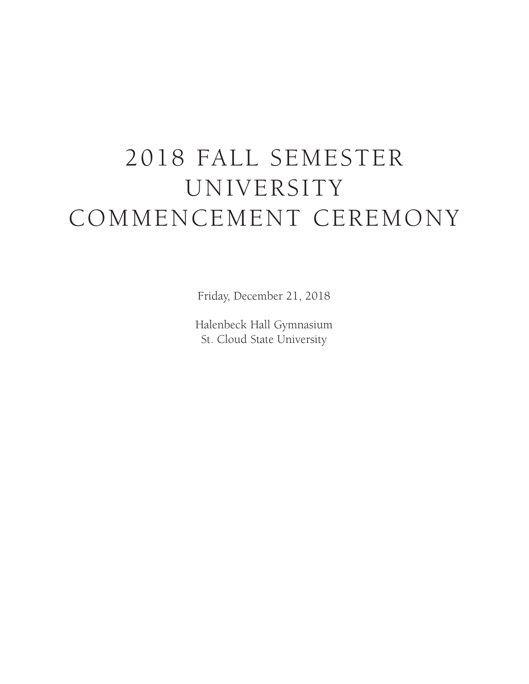# 2018 FALL SEMESTER UNIVERSITY COMMENCEMENT CEREMONY

Friday, December 21, 2018

Halenbeck Hall Gymnasium St. Cloud State University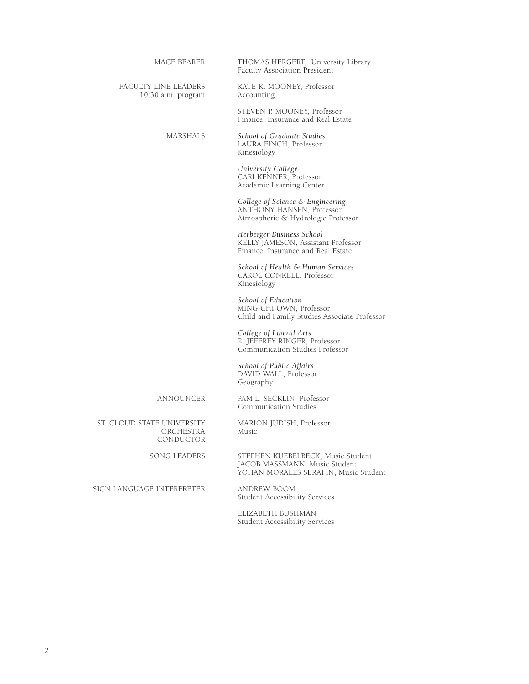| <b>MACE BEARER</b>                                   | THOMAS HERGERT, University Library<br>Faculty Association President                                        |  |
|------------------------------------------------------|------------------------------------------------------------------------------------------------------------|--|
| FACULTY LINE LEADERS<br>$10:30$ a.m. program         | KATE K. MOONEY, Professor<br>Accounting                                                                    |  |
|                                                      | STEVEN P. MOONEY, Professor<br>Finance, Insurance and Real Estate                                          |  |
| <b>MARSHALS</b>                                      | School of Graduate Studies<br>LAURA FINCH, Professor<br>Kinesiology                                        |  |
|                                                      | University College<br>CARI KENNER, Professor<br>Academic Learning Center                                   |  |
|                                                      | College of Science & Engineering<br>ANTHONY HANSEN, Professor<br>Atmospheric & Hydrologic Professor        |  |
|                                                      | Herberger Business School<br>KELLY JAMESON, Assistant Professor<br>Finance, Insurance and Real Estate      |  |
|                                                      | School of Health & Human Services<br>CAROL CONKELL, Professor<br>Kinesiology                               |  |
|                                                      | School of Education<br>MING-CHI OWN, Professor<br>Child and Family Studies Associate Professor             |  |
|                                                      | College of Liberal Arts<br>R. JEFFREY RINGER, Professor<br>Communication Studies Professor                 |  |
|                                                      | School of Public Affairs<br>DAVID WALL, Professor<br>Geography                                             |  |
| ANNOUNCER                                            | PAM L. SECKLIN, Professor<br>Communication Studies                                                         |  |
| ST. CLOUD STATE UNIVERSITY<br>ORCHESTRA<br>CONDUCTOR | MARION JUDISH, Professor<br>Music                                                                          |  |
| <b>SONG LEADERS</b>                                  | STEPHEN KUEBELBECK, Music Student<br>JACOB MASSMANN, Music Student<br>YOHAN MORALES SERAFIN, Music Student |  |

SIGN LANGUAGE INTERPRETER

ANDREW BOOM<br>Student Accessibility Services

ELIZABETH BUSHMAN Student Accessibility Services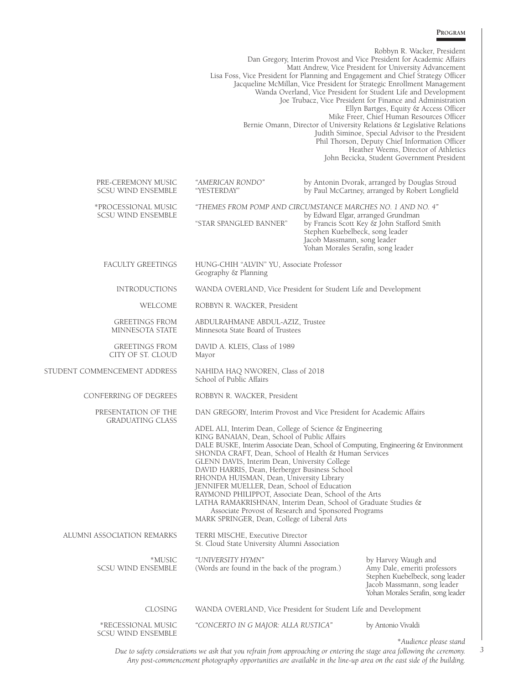#### **Program**

|                                                  |                                                                                                                                                                                                                                                                                                                                                                                                                                   |                                                                                                      | Robbyn R. Wacker, President<br>Dan Gregory, Interim Provost and Vice President for Academic Affairs<br>Matt Andrew, Vice President for University Advancement<br>Lisa Foss, Vice President for Planning and Engagement and Chief Strategy Officer<br>Jacqueline McMillan, Vice President for Strategic Enrollment Management<br>Wanda Overland, Vice President for Student Life and Development<br>Joe Trubacz, Vice President for Finance and Administration<br>Ellyn Bartges, Equity & Access Officer<br>Mike Freer, Chief Human Resources Officer<br>Bernie Omann, Director of University Relations & Legislative Relations<br>Judith Siminoe, Special Advisor to the President<br>Phil Thorson, Deputy Chief Information Officer<br>Heather Weems, Director of Athletics<br>John Becicka, Student Government President |
|--------------------------------------------------|-----------------------------------------------------------------------------------------------------------------------------------------------------------------------------------------------------------------------------------------------------------------------------------------------------------------------------------------------------------------------------------------------------------------------------------|------------------------------------------------------------------------------------------------------|----------------------------------------------------------------------------------------------------------------------------------------------------------------------------------------------------------------------------------------------------------------------------------------------------------------------------------------------------------------------------------------------------------------------------------------------------------------------------------------------------------------------------------------------------------------------------------------------------------------------------------------------------------------------------------------------------------------------------------------------------------------------------------------------------------------------------|
| PRE-CEREMONY MUSIC<br><b>SCSU WIND ENSEMBLE</b>  | "AMERICAN RONDO"<br>"YESTERDAY"                                                                                                                                                                                                                                                                                                                                                                                                   |                                                                                                      | by Antonin Dvorak, arranged by Douglas Stroud<br>by Paul McCartney, arranged by Robert Longfield                                                                                                                                                                                                                                                                                                                                                                                                                                                                                                                                                                                                                                                                                                                           |
| *PROCESSIONAL MUSIC<br><b>SCSU WIND ENSEMBLE</b> | "THEMES FROM POMP AND CIRCUMSTANCE MARCHES NO. 1 AND NO. 4"<br>"STAR SPANGLED BANNER"                                                                                                                                                                                                                                                                                                                                             | Stephen Kuebelbeck, song leader<br>Jacob Massmann, song leader<br>Yohan Morales Serafin, song leader | by Edward Elgar, arranged Grundman<br>by Francis Scott Key & John Stafford Smith                                                                                                                                                                                                                                                                                                                                                                                                                                                                                                                                                                                                                                                                                                                                           |
| <b>FACULTY GREETINGS</b>                         | HUNG-CHIH "ALVIN" YU, Associate Professor<br>Geography & Planning                                                                                                                                                                                                                                                                                                                                                                 |                                                                                                      |                                                                                                                                                                                                                                                                                                                                                                                                                                                                                                                                                                                                                                                                                                                                                                                                                            |
| <b>INTRODUCTIONS</b>                             | WANDA OVERLAND, Vice President for Student Life and Development                                                                                                                                                                                                                                                                                                                                                                   |                                                                                                      |                                                                                                                                                                                                                                                                                                                                                                                                                                                                                                                                                                                                                                                                                                                                                                                                                            |
| WELCOME                                          | ROBBYN R. WACKER, President                                                                                                                                                                                                                                                                                                                                                                                                       |                                                                                                      |                                                                                                                                                                                                                                                                                                                                                                                                                                                                                                                                                                                                                                                                                                                                                                                                                            |
| <b>GREETINGS FROM</b><br>MINNESOTA STATE         | ABDULRAHMANE ABDUL-AZIZ, Trustee<br>Minnesota State Board of Trustees                                                                                                                                                                                                                                                                                                                                                             |                                                                                                      |                                                                                                                                                                                                                                                                                                                                                                                                                                                                                                                                                                                                                                                                                                                                                                                                                            |
| <b>GREETINGS FROM</b><br>CITY OF ST. CLOUD       | DAVID A. KLEIS, Class of 1989<br>Mayor                                                                                                                                                                                                                                                                                                                                                                                            |                                                                                                      |                                                                                                                                                                                                                                                                                                                                                                                                                                                                                                                                                                                                                                                                                                                                                                                                                            |
| STUDENT COMMENCEMENT ADDRESS                     | NAHIDA HAQ NWOREN, Class of 2018<br>School of Public Affairs                                                                                                                                                                                                                                                                                                                                                                      |                                                                                                      |                                                                                                                                                                                                                                                                                                                                                                                                                                                                                                                                                                                                                                                                                                                                                                                                                            |
| CONFERRING OF DEGREES                            | ROBBYN R. WACKER, President                                                                                                                                                                                                                                                                                                                                                                                                       |                                                                                                      |                                                                                                                                                                                                                                                                                                                                                                                                                                                                                                                                                                                                                                                                                                                                                                                                                            |
| PRESENTATION OF THE<br><b>GRADUATING CLASS</b>   | DAN GREGORY, Interim Provost and Vice President for Academic Affairs<br>ADEL ALI, Interim Dean, College of Science & Engineering<br>KING BANAIAN, Dean, School of Public Affairs<br>DALE BUSKE, Interim Associate Dean, School of Computing, Engineering & Environment<br>SHONDA CRAFT, Dean, School of Health & Human Services<br>GLENN DAVIS, Interim Dean, University College<br>DAVID HARRIS, Dean, Herberger Business School |                                                                                                      |                                                                                                                                                                                                                                                                                                                                                                                                                                                                                                                                                                                                                                                                                                                                                                                                                            |
|                                                  | RHONDA HUISMAN, Dean, University Library<br>JENNIFER MUELLER, Dean, School of Education<br>RAYMOND PHILIPPOT, Associate Dean, School of the Arts<br>LATHA RAMAKRISHNAN, Interim Dean, School of Graduate Studies &<br>Associate Provost of Research and Sponsored Programs<br>MARK SPRINGER, Dean, College of Liberal Arts                                                                                                        |                                                                                                      |                                                                                                                                                                                                                                                                                                                                                                                                                                                                                                                                                                                                                                                                                                                                                                                                                            |
| ALUMNI ASSOCIATION REMARKS                       | TERRI MISCHE, Executive Director<br>St. Cloud State University Alumni Association                                                                                                                                                                                                                                                                                                                                                 |                                                                                                      |                                                                                                                                                                                                                                                                                                                                                                                                                                                                                                                                                                                                                                                                                                                                                                                                                            |
| *MUSIC<br><b>SCSU WIND ENSEMBLE</b>              | "UNIVERSITY HYMN"<br>(Words are found in the back of the program.)                                                                                                                                                                                                                                                                                                                                                                |                                                                                                      | by Harvey Waugh and<br>Amy Dale, emeriti professors<br>Stephen Kuebelbeck, song leader<br>Jacob Massmann, song leader<br>Yohan Morales Serafin, song leader                                                                                                                                                                                                                                                                                                                                                                                                                                                                                                                                                                                                                                                                |
| CLOSING                                          | WANDA OVERLAND, Vice President for Student Life and Development                                                                                                                                                                                                                                                                                                                                                                   |                                                                                                      |                                                                                                                                                                                                                                                                                                                                                                                                                                                                                                                                                                                                                                                                                                                                                                                                                            |
| *RECESSIONAL MUSIC<br>SCSU WIND ENSEMBLE         | "CONCERTO IN G MAJOR: ALLA RUSTICA"                                                                                                                                                                                                                                                                                                                                                                                               |                                                                                                      | by Antonio Vivaldi                                                                                                                                                                                                                                                                                                                                                                                                                                                                                                                                                                                                                                                                                                                                                                                                         |

\**Audience please stand*

*3*

*Due to safety considerations we ask that you refrain from approaching or entering the stage area following the ceremony. Any post-commencement photography opportunities are available in the line-up area on the east side of the building.*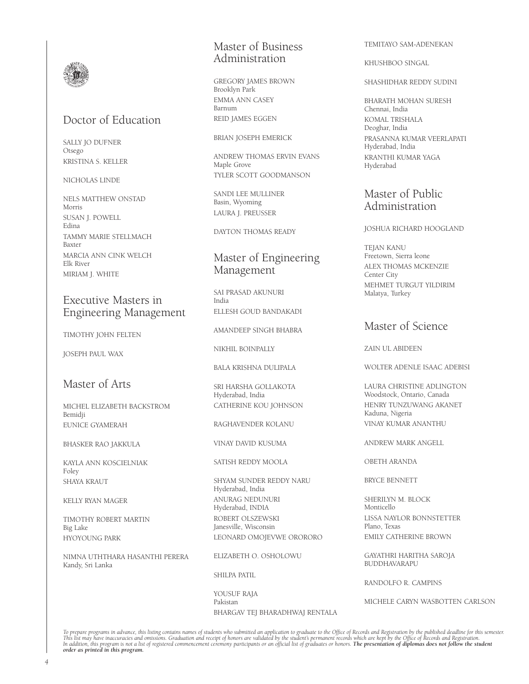

## Doctor of Education

SALLY JO DUFNER Otsego KRISTINA S. KELLER

#### NICHOLAS LINDE

NELS MATTHEW ONSTAD Morris SUSAN J. POWELL Edina TAMMY MARIE STELLMACH Baxter MARCIA ANN CINK WELCH Elk River MIRIAM J. WHITE

## Executive Masters in Engineering Management

TIMOTHY JOHN FELTEN

JOSEPH PAUL WAX

## Master of Arts

MICHEL ELIZABETH BACKSTROM Bemidji EUNICE GYAMERAH

BHASKER RAO JAKKULA

KAYLA ANN KOSCIELNIAK Foley SHAYA KRAUT

KELLY RYAN MAGER

TIMOTHY ROBERT MARTIN Big Lake HYOYOUNG PARK

NIMNA UTHTHARA HASANTHI PERERA Kandy, Sri Lanka

## Master of Business Administration

GREGORY JAMES BROWN Brooklyn Park EMMA ANN CASEY Barnum REID JAMES EGGEN

BRIAN JOSEPH EMERICK

ANDREW THOMAS ERVIN EVANS Maple Grove TYLER SCOTT GOODMANSON

SANDI LEE MULLINER Basin, Wyoming LAURA J. PREUSSER

DAYTON THOMAS READY

## Master of Engineering Management

SAI PRASAD AKUNURI India ELLESH GOUD BANDAKADI

AMANDEEP SINGH BHABRA

NIKHIL BOINPALLY

BALA KRISHNA DULIPALA

SRI HARSHA GOLLAKOTA Hyderabad, India CATHERINE KOU JOHNSON

RAGHAVENDER KOLANU

VINAY DAVID KUSUMA

SATISH REDDY MOOLA

SHYAM SUNDER REDDY NARU Hyderabad, India ANURAG NEDUNURI Hyderabad, INDIA ROBERT OLSZEWSKI Janesville, Wisconsin LEONARD OMOJEVWE ORORORO

ELIZABETH O. OSHOLOWU

SHILPA PATIL

YOUSUF RAJA Pakistan BHARGAV TEJ BHARADHWAJ RENTALA TEMITAYO SAM-ADENEKAN

KHUSHBOO SINGAL

SHASHIDHAR REDDY SUDINI

BHARATH MOHAN SURESH Chennai, India KOMAL TRISHALA Deoghar, India PRASANNA KUMAR VEERLAPATI Hyderabad, India KRANTHI KUMAR YAGA Hyderabad

## Master of Public Administration

#### JOSHUA RICHARD HOOGLAND

TEJAN KANU Freetown, Sierra leone ALEX THOMAS MCKENZIE Center City MEHMET TURGUT YILDIRIM Malatya, Turkey

## Master of Science

ZAIN UL ABIDEEN

WOLTER ADENLE ISAAC ADEBISI

LAURA CHRISTINE ADLINGTON Woodstock, Ontario, Canada HENRY TUNZUWANG AKANET Kaduna, Nigeria VINAY KUMAR ANANTHU

ANDREW MARK ANGELL

OBETH ARANDA

BRYCE BENNETT

SHERILYN M. BLOCK Monticello LISSA NAYLOR BONNSTETTER Plano, Texas EMILY CATHERINE BROWN

GAYATHRI HARITHA SAROJA BUDDHAVARAPU

RANDOLFO R. CAMPINS

MICHELE CARYN WASBOTTEN CARLSON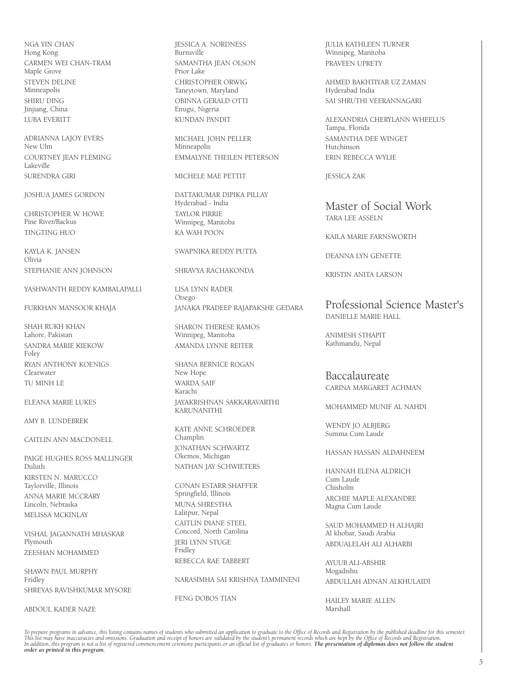NGA YIN CHAN Hong Kong CARMEN WEI CHAN-TRAM Maple Grove STEVEN DELINE Minneapolis SHIRU DING Jinjiang, China LUBA EVERITT

ADRIANNA LAJOY EVERS New Ulm COURTNEY JEAN FLEMING Lakeville SURENDRA GIRI

JOSHUA JAMES GORDON

CHRISTOPHER W. HOWE Pine River/Backus TINGTING HUO

KAYLA K. JANSEN Olivia STEPHANIE ANN JOHNSON

YASHWANTH REDDY KAMBALAPALLI

FURKHAN MANSOOR KHAJA

SHAH RUKH KHAN Lahore, Pakistan SANDRA MARIE KIEKOW Foley RYAN ANTHONY KOENIGS Clearwater TU MINH LE

ELEANA MARIE LUKES

AMY B. LUNDEBREK

CAITLIN ANN MACDONELL

PAIGE HUGHES ROSS MALLINGER Duluth KIRSTEN N. MARUCCO Taylorville, Illinois ANNA MARIE MCCRARY Lincoln, Nebraska MELISSA MCKINLAY

VISHAL JAGANNATH MHASKAR Plymouth ZEESHAN MOHAMMED

SHAWN PAUL MURPHY Fridley SHREYAS RAVISHKUMAR MYSORE

ABDOUL KADER NAZE

JESSICA A. NORDNESS **Burnsville** SAMANTHA JEAN OLSON Prior Lake CHRISTOPHER ORWIG Taneytown, Maryland OBINNA GERALD OTTI Enugu, Nigeria KUNDAN PANDIT

MICHAEL JOHN PELLER Minneapolis EMMALYNE THEILEN PETERSON

MICHELE MAE PETTIT

DATTAKUMAR DIPIKA PILLAY Hyderabad - India TAYLOR PIRRIE Winnipeg, Manitoba KA WAH POON

SWAPNIKA REDDY PUTTA

SHRAVYA RACHAKONDA

LISA LYNN RADER Otsego JANAKA PRADEEP RAJAPAKSHE GEDARA

SHARON THERESE RAMOS Winnipeg, Manitoba AMANDA LYNNE REITER

SHANA BERNICE ROGAN New Hope WARDA SAIF Karachi JAYAKRISHNAN SAKKARAVARTHI KARUNANITHI

KATE ANNE SCHROEDER Champlin JONATHAN SCHWARTZ Okemos, Michigan NATHAN JAY SCHWIETERS

CONAN ESTARR SHAFFER Springfield, Illinois MUNA SHRESTHA Lalitpur, Nepal CAITLIN DIANE STEEL Concord, North Carolina JERI LYNN STUGE Fridley REBECCA RAE TABBERT

NARASIMHA SAI KRISHNA TAMMINENI

FENG DOBOS TIAN

JULIA KATHLEEN TURNER Winnipeg, Manitoba PRAVEEN UPRETY

AHMED BAKHTIYAR UZ ZAMAN Hyderabad India SAI SHRUTHI VEERANNAGARI

ALEXANDRIA CHERYLANN WHEELUS Tampa, Florida SAMANTHA DEE WINGET Hutchinson ERIN REBECCA WYLIE

JESSICA ZAK

Master of Social Work TARA LEE ASSELN

KAILA MARIE FARNSWORTH

DEANNA LYN GENETTE

KRISTIN ANITA LARSON

Professional Science Master's DANIELLE MARIE HALL

ANIMESH STHAPIT Kathmandu, Nepal

Baccalaureate CARINA MARGARET ACHMAN

MOHAMMED MUNIF AL NAHDI

WENDY JO ALBJERG Summa Cum Laude

HASSAN HASSAN ALDAHNEEM

HANNAH ELENA ALDRICH Cum Laude Chisholm ARCHIE MAPLE ALEXANDRE Magna Cum Laude

SAUD MOHAMMED H ALHAJRI Al khobar, Saudi Arabia ABDUALELAH ALI ALHARBI

AYUUB ALI-ABSHIR Mogadishu ABDULLAH ADNAN ALKHULAIDI

HAILEY MARIE ALLEN Marshall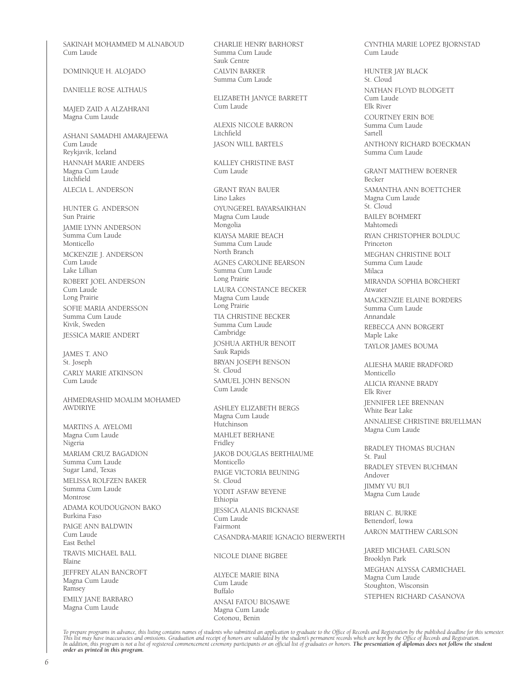SAKINAH MOHAMMED M ALNABOUD Cum Laude

DOMINIQUE H. ALOJADO

DANIELLE ROSE ALTHAUS

MAJED ZAID A ALZAHRANI Magna Cum Laude

ASHANI SAMADHI AMARAJEEWA Cum Laude Reykjavik, Iceland HANNAH MARIE ANDERS Magna Cum Laude Litchfield ALECIA L. ANDERSON

HUNTER G. ANDERSON Sun Prairie JAMIE LYNN ANDERSON Summa Cum Laude Monticello MCKENZIE J. ANDERSON Cum Laude Lake Lillian ROBERT JOEL ANDERSON Cum Laude Long Prairie SOFIE MARIA ANDERSSON Summa Cum Laude Kivik, Sweden JESSICA MARIE ANDERT

JAMES T. ANO St. Joseph CARLY MARIE ATKINSON Cum Laude

AHMEDRASHID MOALIM MOHAMED AWDIRIYE

MARTINS A. AYELOMI Magna Cum Laude Nigeria MARIAM CRUZ BAGADION Summa Cum Laude Sugar Land, Texas MELISSA ROLFZEN BAKER Summa Cum Laude Montrose ADAMA KOUDOUGNON BAKO Burkina Faso PAIGE ANN BALDWIN Cum Laude East Bethel TRAVIS MICHAEL BALL Blaine JEFFREY ALAN BANCROFT Magna Cum Laude Ramsey EMILY JANE BARBARO Magna Cum Laude

CHARLIE HENRY BARHORST Summa Cum Laude Sauk Centre CALVIN BARKER Summa Cum Laude

ELIZABETH JANYCE BARRETT Cum Laude

ALEXIS NICOLE BARRON Litchfield JASON WILL BARTELS

KALLEY CHRISTINE BAST Cum Laude

GRANT RYAN BAUER Lino Lakes OYUNGEREL BAYARSAIKHAN Magna Cum Laude Mongolia KIAYSA MARIE BEACH Summa Cum Laude North Branch AGNES CAROLINE BEARSON Summa Cum Laude Long Prairie LAURA CONSTANCE BECKER Magna Cum Laude Long Prairie TIA CHRISTINE BECKER Summa Cum Laude Cambridge JOSHUA ARTHUR BENOIT Sauk Rapids BRYAN JOSEPH BENSON St. Cloud SAMUEL JOHN BENSON Cum Laude ASHLEY ELIZABETH BERGS Magna Cum Laude Hutchinson MAHLET BERHANE

Fridley JAKOB DOUGLAS BERTHIAUME Monticello PAIGE VICTORIA BEUNING St. Cloud YODIT ASFAW BEYENE Ethiopia JESSICA ALANIS BICKNASE Cum Laude Fairmont CASANDRA-MARIE IGNACIO BIERWERTH

NICOLE DIANE BIGBEE

ALYECE MARIE BINA Cum Laude Buffalo ANSAI FATOU BIOSAWE Magna Cum Laude Cotonou, Benin

CYNTHIA MARIE LOPEZ BJORNSTAD Cum Laude

HUNTER JAY BLACK St. Cloud NATHAN FLOYD BLODGETT Cum Laude Elk River COURTNEY ERIN BOE Summa Cum Laude Sartell ANTHONY RICHARD BOECKMAN Summa Cum Laude GRANT MATTHEW BOERNER Becker SAMANTHA ANN BOETTCHER Magna Cum Laude St. Cloud BAILEY BOHMERT Mahtomedi RYAN CHRISTOPHER BOLDUC Princeton MEGHAN CHRISTINE BOLT Summa Cum Laude Milaca MIRANDA SOPHIA BORCHERT Atwater MACKENZIE ELAINE BORDERS Summa Cum Laude Annandale REBECCA ANN BORGERT Maple Lake TAYLOR JAMES BOUMA ALIESHA MARIE BRADFORD Monticello ALICIA RYANNE BRADY Elk River JENNIFER LEE BRENNAN

White Bear Lake ANNALIESE CHRISTINE BRUELLMAN Magna Cum Laude

BRADLEY THOMAS BUCHAN St. Paul BRADLEY STEVEN BUCHMAN Andover JIMMY VU BUI Magna Cum Laude

BRIAN C. BURKE Bettendorf, Iowa AARON MATTHEW CARLSON

JARED MICHAEL CARLSON Brooklyn Park MEGHAN ALYSSA CARMICHAEL Magna Cum Laude Stoughton, Wisconsin STEPHEN RICHARD CASANOVA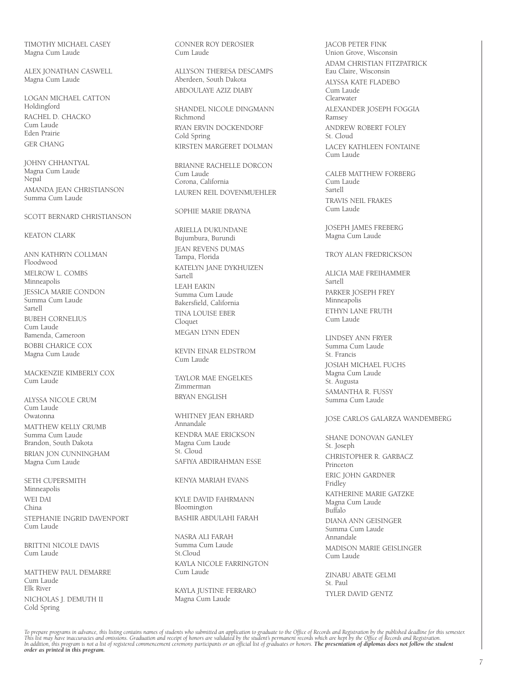TIMOTHY MICHAEL CASEY Magna Cum Laude

ALEX JONATHAN CASWELL Magna Cum Laude

LOGAN MICHAEL CATTON Holdingford RACHEL D. CHACKO Cum Laude Eden Prairie GER CHANG

JOHNY CHHANTYAL Magna Cum Laude Nepal AMANDA JEAN CHRISTIANSON Summa Cum Laude

#### SCOTT BERNARD CHRISTIANSON

#### KEATON CLARK

ANN KATHRYN COLLMAN Floodwood MELROW L. COMBS Minneapolis JESSICA MARIE CONDON Summa Cum Laude Sartell BUBEH CORNELIUS Cum Laude Bamenda, Cameroon BOBBI CHARICE COX Magna Cum Laude

MACKENZIE KIMBERLY COX Cum Laude

ALYSSA NICOLE CRUM Cum Laude Owatonna MATTHEW KELLY CRUMB Summa Cum Laude Brandon, South Dakota BRIAN JON CUNNINGHAM Magna Cum Laude

SETH CUPERSMITH Minneapolis WEI DAI China STEPHANIE INGRID DAVENPORT Cum Laude

BRITTNI NICOLE DAVIS Cum Laude

MATTHEW PAUL DEMARRE Cum Laude Elk River NICHOLAS J. DEMUTH II Cold Spring

CONNER ROY DEROSIER Cum Laude

ALLYSON THERESA DESCAMPS Aberdeen, South Dakota ABDOULAYE AZIZ DIABY

SHANDEL NICOLE DINGMANN Richmond RYAN ERVIN DOCKENDORF Cold Spring KIRSTEN MARGERET DOLMAN

BRIANNE RACHELLE DORCON Cum Laude Corona, California LAUREN REIL DOVENMUEHLER

#### SOPHIE MARIE DRAYNA

ARIELLA DUKUNDANE Bujumbura, Burundi JEAN REVENS DUMAS Tampa, Florida KATELYN JANE DYKHUIZEN Sartell LEAH EAKIN Summa Cum Laude Bakersfield, California TINA LOUISE EBER Cloquet MEGAN LYNN EDEN

KEVIN EINAR ELDSTROM Cum Laude

TAYLOR MAE ENGELKES Zimmerman BRYAN ENGLISH

WHITNEY JEAN ERHARD Annandale KENDRA MAE ERICKSON Magna Cum Laude St. Cloud SAFIYA ABDIRAHMAN ESSE

KENYA MARIAH EVANS

KYLE DAVID FAHRMANN Bloomington BASHIR ABDULAHI FARAH

NASRA ALI FARAH Summa Cum Laude St.Cloud KAYLA NICOLE FARRINGTON Cum Laude

KAYLA JUSTINE FERRARO Magna Cum Laude

JACOB PETER FINK Union Grove, Wisconsin ADAM CHRISTIAN FITZPATRICK Eau Claire, Wisconsin ALYSSA KATE FLADEBO Cum Laude Clearwater ALEXANDER JOSEPH FOGGIA Ramsey ANDREW ROBERT FOLEY St. Cloud LACEY KATHLEEN FONTAINE Cum Laude

CALEB MATTHEW FORBERG Cum Laude Sartell TRAVIS NEIL FRAKES Cum Laude

JOSEPH JAMES FREBERG Magna Cum Laude

TROY ALAN FREDRICKSON

ALICIA MAE FREIHAMMER Sartell PARKER JOSEPH FREY Minneapolis ETHYN LANE FRUTH Cum Laude

LINDSEY ANN FRYER Summa Cum Laude St. Francis JOSIAH MICHAEL FUCHS Magna Cum Laude St. Augusta SAMANTHA R. FUSSY Summa Cum Laude

#### JOSE CARLOS GALARZA WANDEMBERG

SHANE DONOVAN GANLEY St. Joseph CHRISTOPHER R. GARBACZ Princeton ERIC JOHN GARDNER Fridley KATHERINE MARIE GATZKE Magna Cum Laude Buffalo DIANA ANN GEISINGER Summa Cum Laude Annandale MADISON MARIE GEISLINGER Cum Laude

ZINABU ABATE GELMI St. Paul TYLER DAVID GENTZ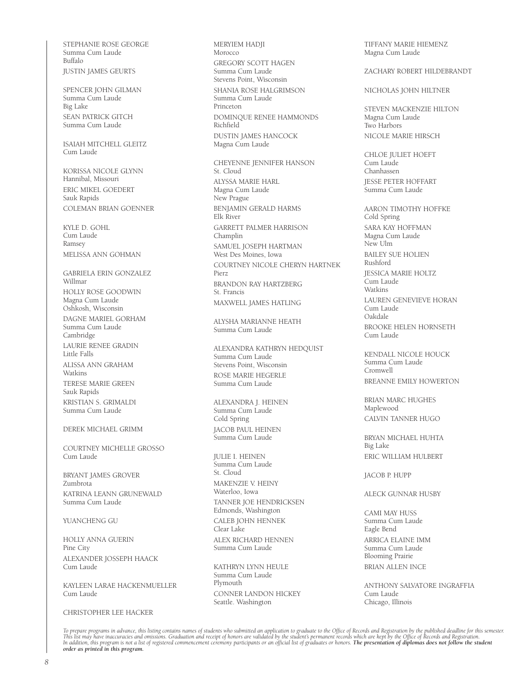STEPHANIE ROSE GEORGE Summa Cum Laude Buffalo JUSTIN JAMES GEURTS

SPENCER JOHN GILMAN Summa Cum Laude Big Lake SEAN PATRICK GITCH Summa Cum Laude

ISAIAH MITCHELL GLEITZ Cum Laude

KORISSA NICOLE GLYNN Hannibal, Missouri ERIC MIKEL GOEDERT Sauk Rapids COLEMAN BRIAN GOENNER

KYLE D. GOHL Cum Laude Ramsey MELISSA ANN GOHMAN

GABRIELA ERIN GONZALEZ Willmar HOLLY ROSE GOODWIN Magna Cum Laude Oshkosh, Wisconsin DAGNE MARIEL GORHAM Summa Cum Laude Cambridge LAURIE RENEE GRADIN Little Falls ALISSA ANN GRAHAM **Watkins** TERESE MARIE GREEN Sauk Rapids KRISTIAN S. GRIMALDI Summa Cum Laude

DEREK MICHAEL GRIMM

COURTNEY MICHELLE GROSSO Cum Laude

BRYANT JAMES GROVER Zumbrota KATRINA LEANN GRUNEWALD Summa Cum Laude

YUANCHENG GU

HOLLY ANNA GUERIN Pine City ALEXANDER JOSSEPH HAACK Cum Laude

KAYLEEN LARAE HACKENMUELLER Cum Laude

CHRISTOPHER LEE HACKER

MERYIEM HADJI Morocco GREGORY SCOTT HAGEN Summa Cum Laude Stevens Point, Wisconsin SHANIA ROSE HALGRIMSON Summa Cum Laude Princeton DOMINQUE RENEE HAMMONDS Richfield DUSTIN JAMES HANCOCK Magna Cum Laude

CHEYENNE JENNIFER HANSON St. Cloud ALYSSA MARIE HARL Magna Cum Laude New Prague BENJAMIN GERALD HARMS Elk River GARRETT PALMER HARRISON Champlin SAMUEL JOSEPH HARTMAN West Des Moines, Iowa COURTNEY NICOLE CHERYN HARTNEK Pierz BRANDON RAY HARTZBERG St. Francis MAXWELL JAMES HATLING

ALYSHA MARIANNE HEATH Summa Cum Laude

ALEXANDRA KATHRYN HEDQUIST Summa Cum Laude Stevens Point, Wisconsin ROSE MARIE HEGERLE Summa Cum Laude

ALEXANDRA J. HEINEN Summa Cum Laude Cold Spring JACOB PAUL HEINEN Summa Cum Laude

JULIE I. HEINEN Summa Cum Laude St. Cloud MAKENZIE V. HEINY Waterloo, Iowa TANNER JOE HENDRICKSEN Edmonds, Washington CALEB JOHN HENNEK Clear Lake ALEX RICHARD HENNEN Summa Cum Laude

KATHRYN LYNN HEULE Summa Cum Laude Plymouth CONNER LANDON HICKEY Seattle. Washington

TIFFANY MARIE HIEMENZ Magna Cum Laude

ZACHARY ROBERT HILDEBRANDT

NICHOLAS JOHN HILTNER

STEVEN MACKENZIE HILTON Magna Cum Laude Two Harbors NICOLE MARIE HIRSCH

CHLOE JULIET HOEFT Cum Laude Chanhassen JESSE PETER HOFFART Summa Cum Laude

AARON TIMOTHY HOFFKE Cold Spring SARA KAY HOFFMAN Magna Cum Laude New Ulm BAILEY SUE HOLIEN Rushford JESSICA MARIE HOLTZ .<br>Cum Laude Watkins LAUREN GENEVIEVE HORAN Cum Laude Oakdale BROOKE HELEN HORNSETH Cum Laude

KENDALL NICOLE HOUCK Summa Cum Laude Cromwell BREANNE EMILY HOWERTON

BRIAN MARC HUGHES Maplewood CALVIN TANNER HUGO

BRYAN MICHAEL HUHTA Big Lake ERIC WILLIAM HULBERT

JACOB P. HUPP

#### ALECK GUNNAR HUSBY

CAMI MAY HUSS Summa Cum Laude Eagle Bend ARRICA ELAINE IMM Summa Cum Laude Blooming Prairie BRIAN ALLEN INCE

ANTHONY SALVATORE INGRAFFIA Cum Laude Chicago, Illinois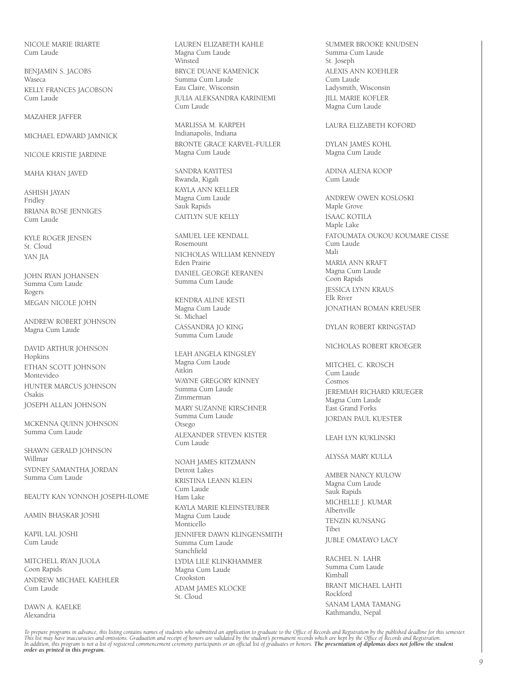NICOLE MARIE IRIARTE Cum Laude

BENJAMIN S. JACOBS Waseca KELLY FRANCES JACOBSON Cum Laude

#### MAZAHER JAFFER

MICHAEL EDWARD JAMNICK

NICOLE KRISTIE JARDINE

MAHA KHAN JAVED

ASHISH JAYAN Fridley BRIANA ROSE JENNIGES Cum Laude

KYLE ROGER JENSEN St. Cloud YAN JIA

JOHN RYAN JOHANSEN Summa Cum Laude Rogers MEGAN NICOLE JOHN

ANDREW ROBERT JOHNSON Magna Cum Laude

DAVID ARTHUR JOHNSON Hopkins ETHAN SCOTT JOHNSON Montevideo HUNTER MARCUS JOHNSON Osakis JOSEPH ALLAN JOHNSON

MCKENNA QUINN JOHNSON Summa Cum Laude

SHAWN GERALD JOHNSON Willmar SYDNEY SAMANTHA JORDAN Summa Cum Laude

BEAUTY KAN YONNOH JOSEPH-ILOME

AAMIN BHASKAR JOSHI

KAPIL LAL JOSHI Cum Laude

MITCHELL RYAN JUOLA Coon Rapids ANDREW MICHAEL KAEHLER Cum Laude

DAWN A. KAELKE Alexandria

LAUREN ELIZABETH KAHLE Magna Cum Laude Winsted BRYCE DUANE KAMENICK Summa Cum Laude Eau Claire, Wisconsin JULIA ALEKSANDRA KARINIEMI Cum Laude

MARLISSA M. KARPEH Indianapolis, Indiana BRONTE GRACE KARVEL-FULLER Magna Cum Laude

SANDRA KAYITESI Rwanda, Kigali KAYLA ANN KELLER Magna Cum Laude Sauk Rapids CAITLYN SUE KELLY

SAMUEL LEE KENDALL Rosemount NICHOLAS WILLIAM KENNEDY Eden Prairie DANIEL GEORGE KERANEN Summa Cum Laude

KENDRA ALINE KESTI Magna Cum Laude St. Michael CASSANDRA JO KING Summa Cum Laude

LEAH ANGELA KINGSLEY Magna Cum Laude Aitkin WAYNE GREGORY KINNEY Summa Cum Laude Zimmerman MARY SUZANNE KIRSCHNER Summa Cum Laude Otsego ALEXANDER STEVEN KISTER Cum Laude

NOAH JAMES KITZMANN Detroit Lakes KRISTINA LEANN KLEIN Cum Laude Ham Lake KAYLA MARIE KLEINSTEUBER Magna Cum Laude Monticello **IFNNIFFR DAWN KLINGENSMITH** Summa Cum Laude Stanchfield LYDIA LILE KLINKHAMMER Magna Cum Laude Crookston ADAM JAMES KLOCKE St. Cloud

SUMMER BROOKE KNUDSEN Summa Cum Laude St. Joseph ALEXIS ANN KOEHLER Cum Laude Ladysmith, Wisconsin JILL MARIE KOFLER Magna Cum Laude

LAURA ELIZABETH KOFORD

DYLAN JAMES KOHL Magna Cum Laude

ADINA ALENA KOOP Cum Laude

ANDREW OWEN KOSLOSKI Maple Grove ISAAC KOTILA Maple Lake FATOUMATA OUKOU KOUMARE CISSE Cum Laude Mali MARIA ANN KRAFT Magna Cum Laude Coon Rapids JESSICA LYNN KRAUS Elk River JONATHAN ROMAN KREUSER

DYLAN ROBERT KRINGSTAD

NICHOLAS ROBERT KROEGER

MITCHEL C. KROSCH Cum Laude Cosmos JEREMIAH RICHARD KRUEGER Magna Cum Laude East Grand Forks JORDAN PAUL KUESTER

#### LEAH LYN KUKLINSKI

ALYSSA MARY KULLA

AMBER NANCY KULOW Magna Cum Laude Sauk Rapids MICHELLE J. KUMAR Albertville TENZIN KUNSANG Tibet JUBLE OMATAYO LACY

RACHEL N. LAHR Summa Cum Laude Kimball BRANT MICHAEL LAHTI Rockford SANAM LAMA TAMANG Kathmandu, Nepal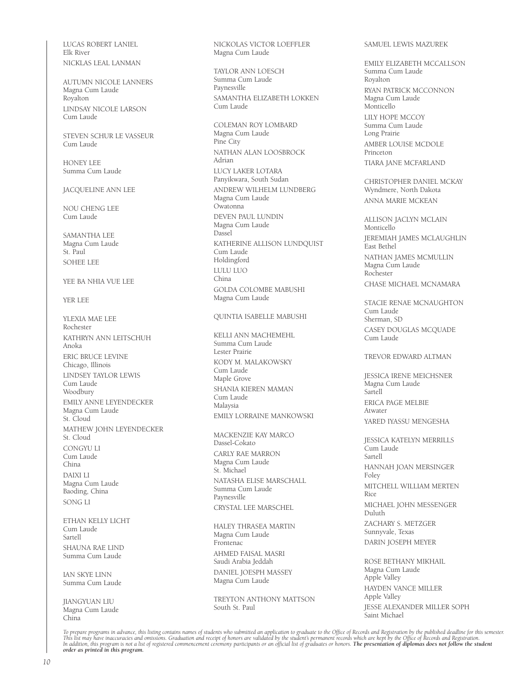LUCAS ROBERT LANIEL Elk River NICKLAS LEAL LANMAN

AUTUMN NICOLE LANNERS Magna Cum Laude Royalton LINDSAY NICOLE LARSON Cum Laude

STEVEN SCHUR LE VASSEUR Cum Laude

HONEY LEE Summa Cum Laude

JACQUELINE ANN LEE

NOU CHENG LEE Cum Laude

SAMANTHA I FF Magna Cum Laude St. Paul SOHEE LEE

#### YEE BA NHIA VUE LEE

YER LEE

YLEXIA MAE LEE Rochester KATHRYN ANN LEITSCHUH Anoka ERIC BRUCE LEVINE Chicago, Illinois LINDSEY TAYLOR LEWIS Cum Laude Woodbury EMILY ANNE LEYENDECKER Magna Cum Laude St. Cloud MATHEW JOHN LEYENDECKER St. Cloud CONGYU LI Cum Laude China DAIXI LI Magna Cum Laude Baoding, China SONG LI

ETHAN KELLY LICHT Cum Laude Sartell SHAUNA RAE LIND Summa Cum Laude

IAN SKYE LINN Summa Cum Laude

JIANGYUAN LIU Magna Cum Laude China

NICKOLAS VICTOR LOEFFLER Magna Cum Laude

TAYLOR ANN LOESCH Summa Cum Laude Paynesville SAMANTHA ELIZABETH LOKKEN Cum Laude

COLEMAN ROY LOMBARD Magna Cum Laude Pine City NATHAN ALAN LOOSBROCK Adrian LUCY LAKER LOTARA Panyikwara, South Sudan ANDREW WILHELM LUNDBERG Magna Cum Laude Owatonna DEVEN PAUL LUNDIN Magna Cum Laude Dassel KATHERINE ALLISON LUNDQUIST Cum Laude Holdingford LULU LUO China GOLDA COLOMBE MABUSHI Magna Cum Laude

QUINTIA ISABELLE MABUSHI

KELLI ANN MACHEMEHL Summa Cum Laude Lester Prairie KODY M. MALAKOWSKY Cum Laude Maple Grove SHANIA KIEREN MAMAN Cum Laude Malaysia EMILY LORRAINE MANKOWSKI

MACKENZIE KAY MARCO Dassel-Cokato CARLY RAE MARRON Magna Cum Laude St. Michael NATASHA ELISE MARSCHALL Summa Cum Laude Paynesville CRYSTAL LEE MARSCHEL

HALEY THRASEA MARTIN Magna Cum Laude Frontenac AHMED FAISAL MASRI Saudi Arabia Jeddah DANIEL JOESPH MASSEY Magna Cum Laude

TREYTON ANTHONY MATTSON South St. Paul

#### SAMUEL LEWIS MAZUREK

EMILY ELIZABETH MCCALLSON Summa Cum Laude Royalton RYAN PATRICK MCCONNON Magna Cum Laude Monticello LILY HOPE MCCOY Summa Cum Laude Long Prairie AMBER LOUISE MCDOLE Princeton TIARA JANE MCFARLAND

CHRISTOPHER DANIEL MCKAY Wyndmere, North Dakota ANNA MARIE MCKEAN

ALLISON JACLYN MCLAIN Monticello JEREMIAH JAMES MCLAUGHLIN East Bethel NATHAN JAMES MCMULLIN Magna Cum Laude Rochester CHASE MICHAEL MCNAMARA

STACIE RENAE MCNAUGHTON Cum Laude Sherman, SD CASEY DOUGLAS MCQUADE Cum Laude

TREVOR EDWARD ALTMAN

JESSICA IRENE MEICHSNER Magna Cum Laude Sartell ERICA PAGE MELBIE Atwater YARED IYASSU MENGESHA

JESSICA KATELYN MERRILLS **Cum Laude** Sartell HANNAH JOAN MERSINGER Foley MITCHELL WILLIAM MERTEN Rice MICHAEL JOHN MESSENGER Duluth ZACHARY S. METZGER Sunnyvale, Texas DARIN JOSEPH MEYER

ROSE BETHANY MIKHAIL Magna Cum Laude Apple Valley HAYDEN VANCE MILLER Apple Valley JESSE ALEXANDER MILLER SOPH Saint Michael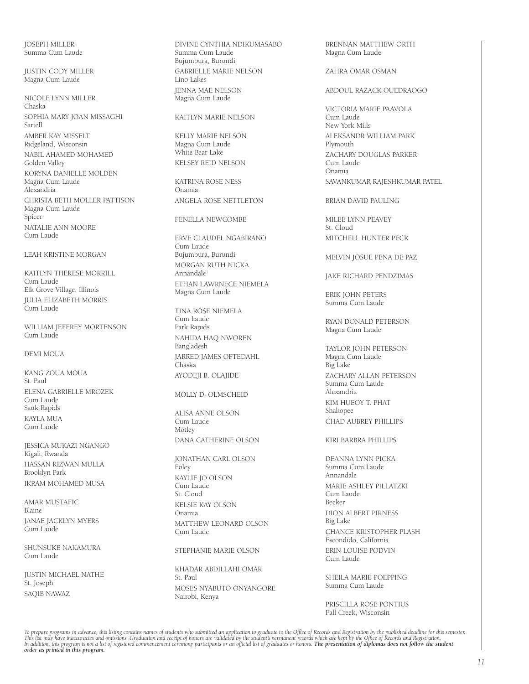JOSEPH MILLER Summa Cum Laude

JUSTIN CODY MILLER Magna Cum Laude

NICOLE LYNN MILLER Chaska SOPHIA MARY JOAN MISSAGHI Sartell AMBER KAY MISSELT Ridgeland, Wisconsin NABIL AHAMED MOHAMED Golden Valley KORYNA DANIELLE MOLDEN Magna Cum Laude Alexandria CHRISTA BETH MOLLER PATTISON Magna Cum Laude Spicer NATALIE ANN MOORE Cum Laude

LEAH KRISTINE MORGAN

KAITLYN THERESE MORRILL Cum Laude Elk Grove Village, Illinois JULIA ELIZABETH MORRIS Cum Laude

WILLIAM JEFFREY MORTENSON Cum Laude

DEMI MOUA

KANG ZOUA MOUA St. Paul ELENA GABRIELLE MROZEK Cum Laude Sauk Rapids KAYLA MUA Cum Laude

JESSICA MUKAZI NGANGO Kigali, Rwanda HASSAN RIZWAN MULLA Brooklyn Park IKRAM MOHAMED MUSA

AMAR MUSTAFIC Blaine JANAE JACKLYN MYERS Cum Laude

SHUNSUKE NAKAMURA Cum Laude

JUSTIN MICHAEL NATHE St. Joseph SAQIB NAWAZ

DIVINE CYNTHIA NDIKUMASABO Summa Cum Laude Bujumbura, Burundi GABRIELLE MARIE NELSON Lino Lakes JENNA MAE NELSON Magna Cum Laude

#### KAITLYN MARIE NELSON

KELLY MARIE NELSON Magna Cum Laude White Bear Lake KELSEY REID NELSON

KATRINA ROSE NESS Onamia ANGELA ROSE NETTLETON

FENELLA NEWCOMBE

ERVE CLAUDEL NGABIRANO Cum Laude Bujumbura, Burundi MORGAN RUTH NICKA Annandale ETHAN LAWRNECE NIEMELA Magna Cum Laude

TINA ROSE NIEMELA Cum Laude Park Rapids NAHIDA HAQ NWOREN Bangladesh JARRED JAMES OFTEDAHL Chaska AYODEJI B. OLAJIDE

#### MOLLY D. OLMSCHEID

ALISA ANNE OLSON Cum Laude Motley DANA CATHERINE OLSON

JONATHAN CARL OLSON Foley KAYLIE JO OLSON Cum Laude St. Cloud KELSIE KAY OLSON Onamia MATTHEW LEONARD OLSON Cum Laude

STEPHANIE MARIE OLSON

KHADAR ABDILLAHI OMAR St. Paul MOSES NYABUTO ONYANGORE Nairobi, Kenya

BRENNAN MATTHEW ORTH Magna Cum Laude

ZAHRA OMAR OSMAN

ABDOUL RAZACK OUEDRAOGO

VICTORIA MARIE PAAVOLA Cum Laude New York Mills ALEKSANDR WILLIAM PARK Plymouth ZACHARY DOUGLAS PARKER Cum Laude Onamia SAVANKUMAR RAJESHKUMAR PATEL

BRIAN DAVID PAULING

MILEE LYNN PEAVEY St. Cloud MITCHELL HUNTER PECK

MELVIN JOSUE PENA DE PAZ

JAKE RICHARD PENDZIMAS

ERIK JOHN PETERS Summa Cum Laude

RYAN DONALD PETERSON Magna Cum Laude

TAYLOR JOHN PETERSON Magna Cum Laude Big Lake ZACHARY ALLAN PETERSON Summa Cum Laude Alexandria KIM HUEOY T. PHAT Shakopee CHAD AUBREY PHILLIPS

KIRI BARBRA PHILLIPS

DEANNA LYNN PICKA Summa Cum Laude Annandale MARIE ASHLEY PILLATZKI Cum Laude Becker DION ALBERT PIRNESS Big Lake CHANCE KRISTOPHER PLASH Escondido, California ERIN LOUISE PODVIN Cum Laude

SHEILA MARIE POEPPING Summa Cum Laude

PRISCILLA ROSE PONTIUS Fall Creek, Wisconsin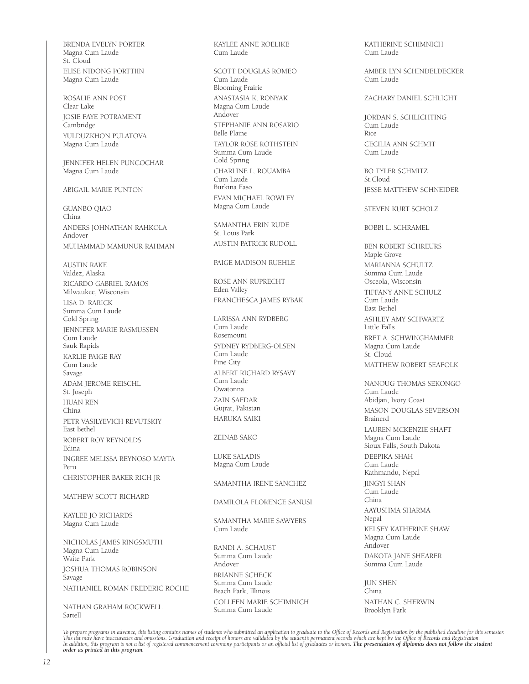BRENDA EVELYN PORTER Magna Cum Laude St. Cloud ELISE NIDONG PORTTIIN Magna Cum Laude

ROSALIE ANN POST Clear Lake JOSIE FAYE POTRAMENT Cambridge YULDUZKHON PULATOVA Magna Cum Laude

JENNIFER HELEN PUNCOCHAR Magna Cum Laude

ABIGAIL MARIE PUNTON

GUANBO QIAO China ANDERS JOHNATHAN RAHKOLA Andover MUHAMMAD MAMUNUR RAHMAN

AUSTIN RAKE Valdez, Alaska RICARDO GABRIEL RAMOS Milwaukee, Wisconsin LISA D. RARICK Summa Cum Laude Cold Spring JENNIFER MARIE RASMUSSEN Cum Laude Sauk Rapids KARLIE PAIGE RAY Cum Laude Savage ADAM JEROME REISCHL St. Joseph HUAN REN China PETR VASILYEVICH REVUTSKIY East Bethel ROBERT ROY REYNOLDS Edina INGREE MELISSA REYNOSO MAYTA Peru CHRISTOPHER BAKER RICH JR

MATHEW SCOTT RICHARD

KAYLEE JO RICHARDS Magna Cum Laude

NICHOLAS JAMES RINGSMUTH Magna Cum Laude Waite Park JOSHUA THOMAS ROBINSON Savage NATHANIEL ROMAN FREDERIC ROCHE

NATHAN GRAHAM ROCKWELL Sartell

KAYLEE ANNE ROELIKE Cum Laude

SCOTT DOUGLAS ROMEO Cum Laude Blooming Prairie ANASTASIA K. RONYAK Magna Cum Laude Andover STEPHANIE ANN ROSARIO Belle Plaine TAYLOR ROSE ROTHSTEIN Summa Cum Laude Cold Spring CHARLINE L. ROUAMBA Cum Laude Burkina Faso EVAN MICHAEL ROWLEY Magna Cum Laude

SAMANTHA ERIN RUDE St. Louis Park AUSTIN PATRICK RUDOLL

PAIGE MADISON RUEHLE

ROSE ANN RUPRECHT Eden Valley FRANCHESCA JAMES RYBAK

LARISSA ANN RYDBERG Cum Laude Rosemount SYDNEY RYDBERG-OLSEN Cum Laude Pine City ALBERT RICHARD RYSAVY Cum Laude Owatonna ZAIN SAFDAR Gujrat, Pakistan HARUKA SAIKI

ZEINAB SAKO

LUKE SALADIS Magna Cum Laude

SAMANTHA IRENE SANCHEZ

DAMILOLA FLORENCE SANUSI

SAMANTHA MARIE SAWYERS Cum Laude

RANDI A. SCHAUST Summa Cum Laude Andover BRIANNE SCHECK Summa Cum Laude Beach Park, Illinois

COLLEEN MARIE SCHIMNICH Summa Cum Laude

KATHERINE SCHIMNICH Cum Laude

AMBER LYN SCHINDELDECKER Cum Laude

ZACHARY DANIEL SCHLICHT

JORDAN S. SCHLICHTING Cum Laude Rice CECILIA ANN SCHMIT Cum Laude

BO TYLER SCHMITZ St.Cloud JESSE MATTHEW SCHNEIDER

STEVEN KURT SCHOLZ

BOBBI L. SCHRAMEL

BEN ROBERT SCHREURS Maple Grove MARIANNA SCHULTZ Summa Cum Laude Osceola, Wisconsin TIFFANY ANNE SCHULZ Cum Laude East Bethel ASHLEY AMY SCHWARTZ Little Falls BRET A. SCHWINGHAMMER Magna Cum Laude St. Cloud MATTHEW ROBERT SEAFOLK

NANOUG THOMAS SEKONGO Cum Laude Abidjan, Ivory Coast MASON DOUGLAS SEVERSON Brainerd LAUREN MCKENZIE SHAFT Magna Cum Laude Sioux Falls, South Dakota DEEPIKA SHAH Cum Laude Kathmandu, Nepal JINGYI SHAN Cum Laude China AAYUSHMA SHARMA Nepal KELSEY KATHERINE SHAW Magna Cum Laude Andover DAKOTA JANE SHEARER Summa Cum Laude

JUN SHEN China NATHAN C. SHERWIN Brooklyn Park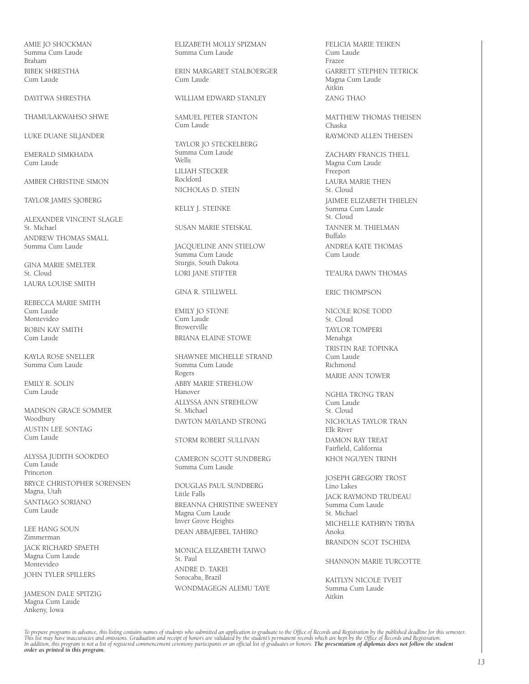AMIE JO SHOCKMAN Summa Cum Laude Braham BIBEK SHRESTHA Cum Laude

DAYITWA SHRESTHA

THAMULAKWAHSO SHWE

LUKE DUANE SILJANDER

EMERALD SIMKHADA Cum Laude

AMBER CHRISTINE SIMON

TAYLOR JAMES SJOBERG

ALEXANDER VINCENT SLAGLE St. Michael ANDREW THOMAS SMALL Summa Cum Laude

GINA MARIE SMELTER St. Cloud LAURA LOUISE SMITH

REBECCA MARIE SMITH Cum Laude Montevideo ROBIN KAY SMITH Cum Laude

KAYLA ROSE SNELLER Summa Cum Laude

EMILY R. SOLIN Cum Laude

MADISON GRACE SOMMER Woodbury AUSTIN LEE SONTAG Cum Laude

ALYSSA JUDITH SOOKDEO Cum Laude Princeton BRYCE CHRISTOPHER SORENSEN Magna, Utah SANTIAGO SORIANO Cum Laude

LEE HANG SOUN Zimmerman JACK RICHARD SPAETH Magna Cum Laude Montevideo JOHN TYLER SPILLERS

JAMESON DALE SPITZIG Magna Cum Laude Ankeny, Iowa

ELIZABETH MOLLY SPIZMAN Summa Cum Laude

ERIN MARGARET STALBOERGER Cum Laude

WILLIAM EDWARD STANLEY

SAMUEL PETER STANTON Cum Laude

TAYLOR JO STECKELBERG Summa Cum Laude Wells LILIAH STECKER Rockford NICHOLAS D. STEIN

KELLY J. STEINKE

SUSAN MARIE STEISKAL

JACQUELINE ANN STIELOW Summa Cum Laude Sturgis, South Dakota LORI JANE STIFTER

GINA R. STILLWELL

EMILY JO STONE Cum Laude Browerville BRIANA ELAINE STOWE

SHAWNEE MICHELLE STRAND Summa Cum Laude Rogers ABBY MARIE STREHLOW Hanover ALLYSSA ANN STREHLOW St. Michael DAYTON MAYLAND STRONG

STORM ROBERT SULLIVAN

CAMERON SCOTT SUNDBERG Summa Cum Laude

DOUGLAS PAUL SUNDBERG Little Falls BREANNA CHRISTINE SWEENEY Magna Cum Laude Inver Grove Heights DEAN ABBAJEBEL TAHIRO

MONICA ELIZABETH TAIWO St. Paul ANDRE D. TAKEI Sorocaba, Brazil WONDMAGEGN ALEMU TAYE FELICIA MARIE TEIKEN Cum Laude Frazee GARRETT STEPHEN TETRICK Magna Cum Laude Aitkin ZANG THAO

MATTHEW THOMAS THEISEN Chaska RAYMOND ALLEN THEISEN

ZACHARY FRANCIS THELL Magna Cum Laude Freeport LAURA MARIE THEN St. Cloud JAIMEE ELIZABETH THIELEN Summa Cum Laude St. Cloud TANNER M. THIELMAN Buffalo ANDREA KATE THOMAS Cum Laude

TE'AURA DAWN THOMAS

ERIC THOMPSON

NICOLE ROSE TODD St. Cloud TAYLOR TOMPERI Menahga TRISTIN RAE TOPINKA Cum Laude Richmond MARIE ANN TOWER

NGHIA TRONG TRAN Cum Laude St. Cloud NICHOLAS TAYLOR TRAN Elk River DAMON RAY TREAT Fairfield, California KHOI NGUYEN TRINH

JOSEPH GREGORY TROST Lino Lakes JACK RAYMOND TRUDEAU Summa Cum Laude St. Michael MICHELLE KATHRYN TRYBA Anoka BRANDON SCOT TSCHIDA

SHANNON MARIE TURCOTTE

KAITLYN NICOLE TVEIT Summa Cum Laude Aitkin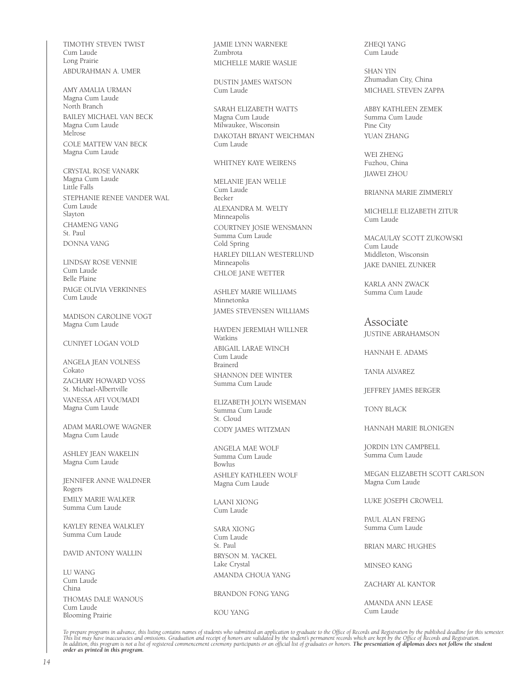TIMOTHY STEVEN TWIST Cum Laude Long Prairie ABDURAHMAN A. UMER

AMY AMALIA URMAN Magna Cum Laude North Branch BAILEY MICHAEL VAN BECK Magna Cum Laude Melrose COLE MATTEW VAN BECK Magna Cum Laude

CRYSTAL ROSE VANARK Magna Cum Laude Little Falls STEPHANIE RENEE VANDER WAL Cum Laude Slayton CHAMENG VANG St. Paul DONNA VANG

LINDSAY ROSE VENNIE Cum Laude Belle Plaine PAIGE OLIVIA VERKINNES Cum Laude

MADISON CAROLINE VOGT Magna Cum Laude

CUNIYET LOGAN VOLD

ANGELA JEAN VOLNESS Cokato ZACHARY HOWARD VOSS St. Michael-Albertville VANESSA AFI VOUMADI Magna Cum Laude

ADAM MARLOWE WAGNER Magna Cum Laude

ASHLEY JEAN WAKELIN Magna Cum Laude

JENNIFER ANNE WALDNER Rogers EMILY MARIE WALKER Summa Cum Laude

KAYLEY RENEA WALKLEY Summa Cum Laude

DAVID ANTONY WALLIN

LU WANG Cum Laude China THOMAS DALE WANOUS Cum Laude Blooming Prairie

JAMIE LYNN WARNEKE Zumbrota MICHELLE MARIE WASLIE

DUSTIN JAMES WATSON Cum Laude

SARAH ELIZABETH WATTS Magna Cum Laude Milwaukee, Wisconsin DAKOTAH BRYANT WEICHMAN Cum Laude

#### WHITNEY KAYE WEIRENS

MELANIE JEAN WELLE Cum Laude Becker ALEXANDRA M. WELTY Minneapolis COURTNEY JOSIE WENSMANN Summa Cum Laude Cold Spring HARLEY DILLAN WESTERLUND Minneapolis CHLOE JANE WETTER

ASHLEY MARIE WILLIAMS Minnetonka JAMES STEVENSEN WILLIAMS

HAYDEN JEREMIAH WILLNER Watkins ABIGAIL LARAE WINCH Cum Laude

Brainerd SHANNON DEE WINTER Summa Cum Laude

ELIZABETH JOLYN WISEMAN Summa Cum Laude St. Cloud CODY JAMES WITZMAN

ANGELA MAE WOLF Summa Cum Laude Bowlus ASHLEY KATHLEEN WOLF Magna Cum Laude

LAANI XIONG Cum Laude

SARA XIONG Cum Laude St. Paul BRYSON M. YACKEL Lake Crystal AMANDA CHOUA YANG

BRANDON FONG YANG

KOU YANG

ZHEQI YANG Cum Laude

SHAN YIN Zhumadian City, China MICHAEL STEVEN ZAPPA

ABBY KATHLEEN ZEMEK Summa Cum Laude Pine City YUAN ZHANG

WEI ZHENG Fuzhou, China JIAWEI ZHOU

BRIANNA MARIE ZIMMERLY

MICHELLE ELIZABETH ZITUR Cum Laude

MACAULAY SCOTT ZUKOWSKI Cum Laude Middleton, Wisconsin JAKE DANIEL ZUNKER

KARLA ANN ZWACK Summa Cum Laude

#### Associate

JUSTINE ABRAHAMSON

HANNAH E. ADAMS

TANIA ALVAREZ

JEFFREY JAMES BERGER

TONY BLACK

HANNAH MARIE BLONIGEN

JORDIN LYN CAMPBELL Summa Cum Laude

MEGAN ELIZABETH SCOTT CARLSON Magna Cum Laude

LUKE JOSEPH CROWELL

PAUL ALAN FRENG Summa Cum Laude

BRIAN MARC HUGHES

MINSEO KANG

ZACHARY AL KANTOR

AMANDA ANN LEASE Cum Laude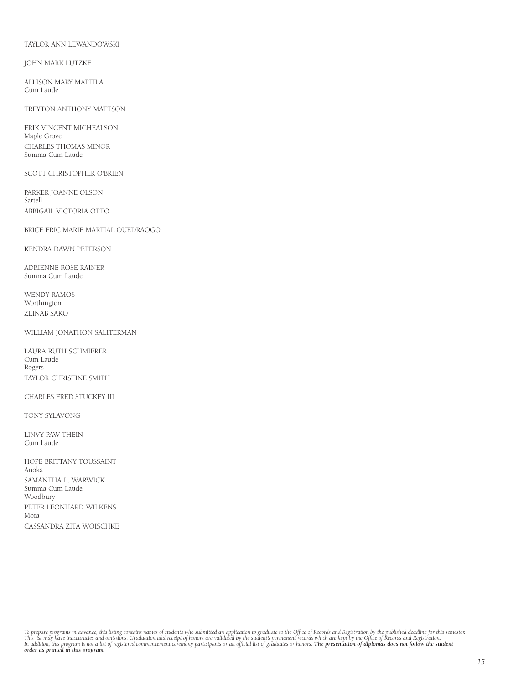#### TAYLOR ANN LEWANDOWSKI

#### JOHN MARK LUTZKE

ALLISON MARY MATTILA Cum Laude

#### TREYTON ANTHONY MATTSON

ERIK VINCENT MICHEALSON Maple Grove CHARLES THOMAS MINOR Summa Cum Laude

#### SCOTT CHRISTOPHER O'BRIEN

PARKER JOANNE OLSON Sartell ABBIGAIL VICTORIA OTTO

BRICE ERIC MARIE MARTIAL OUEDRAOGO

KENDRA DAWN PETERSON

ADRIENNE ROSE RAINER Summa Cum Laude

WENDY RAMOS Worthington ZEINAB SAKO

#### WILLIAM JONATHON SALITERMAN

LAURA RUTH SCHMIERER Cum Laude Rogers TAYLOR CHRISTINE SMITH

#### CHARLES FRED STUCKEY III

TONY SYLAVONG

LINVY PAW THEIN Cum Laude

HOPE BRITTANY TOUSSAINT Anoka SAMANTHA L. WARWICK Summa Cum Laude Woodbury PETER LEONHARD WILKENS Mora CASSANDRA ZITA WOISCHKE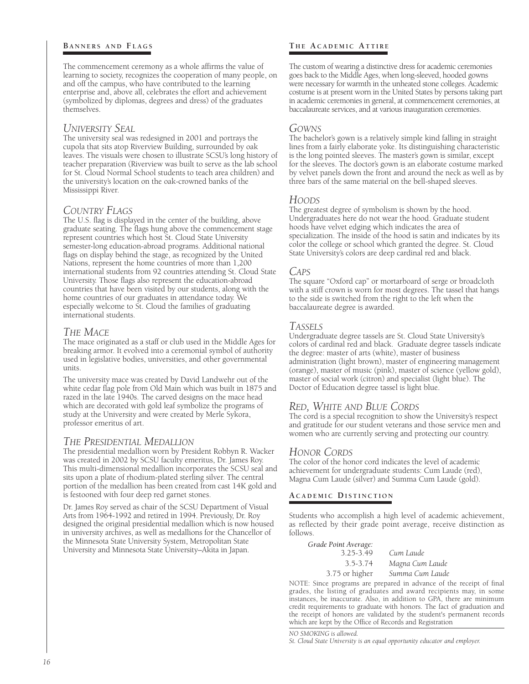#### **BANNERS AND FLAGS**

The commencement ceremony as a whole affirms the value of learning to society, recognizes the cooperation of many people, on and off the campus, who have contributed to the learning enterprise and, above all, celebrates the effort and achievement (symbolized by diplomas, degrees and dress) of the graduates themselves.

## *University Seal*

The university seal was redesigned in 2001 and portrays the cupola that sits atop Riverview Building, surrounded by oak leaves. The visuals were chosen to illustrate SCSU's long history of teacher preparation (Riverview was built to serve as the lab school for St. Cloud Normal School students to teach area children) and the university's location on the oak-crowned banks of the Mississippi River.

## *Country Flags*

The U.S. flag is displayed in the center of the building, above graduate seating. The flags hung above the commencement stage represent countries which host St. Cloud State University semester-long education-abroad programs. Additional national flags on display behind the stage, as recognized by the United Nations, represent the home countries of more than 1,200 international students from 92 countries attending St. Cloud State University. Those flags also represent the education-abroad countries that have been visited by our students, along with the home countries of our graduates in attendance today. We especially welcome to St. Cloud the families of graduating international students.

## *The Mace*

The mace originated as a staff or club used in the Middle Ages for breaking armor. It evolved into a ceremonial symbol of authority used in legislative bodies, universities, and other governmental units.

The university mace was created by David Landwehr out of the white cedar flag pole from Old Main which was built in 1875 and razed in the late 1940s. The carved designs on the mace head which are decorated with gold leaf symbolize the programs of study at the University and were created by Merle Sykora, professor emeritus of art.

## *The Presidential Medallion*

The presidential medallion worn by President Robbyn R. Wacker was created in 2002 by SCSU faculty emeritus, Dr. James Roy. This multi-dimensional medallion incorporates the SCSU seal and sits upon a plate of rhodium-plated sterling silver. The central portion of the medallion has been created from cast 14K gold and is festooned with four deep red garnet stones.

Dr. James Roy served as chair of the SCSU Department of Visual Arts from 1964-1992 and retired in 1994. Previously, Dr. Roy designed the original presidential medallion which is now housed in university archives, as well as medallions for the Chancellor of the Minnesota State University System, Metropolitan State University and Minnesota State University–Akita in Japan.

## **T h e A c a d e m i c Att i r e**

The custom of wearing a distinctive dress for academic ceremonies goes back to the Middle Ages, when long-sleeved, hooded gowns were necessary for warmth in the unheated stone colleges. Academic costume is at present worn in the United States by persons taking part in academic ceremonies in general, at commencement ceremonies, at baccalaureate services, and at various inauguration ceremonies.

### *Gowns*

The bachelor's gown is a relatively simple kind falling in straight lines from a fairly elaborate yoke. Its distinguishing characteristic is the long pointed sleeves. The master's gown is similar, except for the sleeves. The doctor's gown is an elaborate costume marked by velvet panels down the front and around the neck as well as by three bars of the same material on the bell-shaped sleeves.

## *Hoods*

The greatest degree of symbolism is shown by the hood. Undergraduates here do not wear the hood. Graduate student hoods have velvet edging which indicates the area of specialization. The inside of the hood is satin and indicates by its color the college or school which granted the degree. St. Cloud State University's colors are deep cardinal red and black.

#### *Caps*

The square "Oxford cap" or mortarboard of serge or broadcloth with a stiff crown is worn for most degrees. The tassel that hangs to the side is switched from the right to the left when the baccalaureate degree is awarded.

#### *Tassels*

Undergraduate degree tassels are St. Cloud State University's colors of cardinal red and black. Graduate degree tassels indicate the degree: master of arts (white), master of business administration (light brown), master of engineering management (orange), master of music (pink), master of science (yellow gold), master of social work (citron) and specialist (light blue). The Doctor of Education degree tassel is light blue.

## *Red, White and Blue Cords*

The cord is a special recognition to show the University's respect and gratitude for our student veterans and those service men and women who are currently serving and protecting our country.

## *Honor Cords*

The color of the honor cord indicates the level of academic achievement for undergraduate students: Cum Laude (red), Magna Cum Laude (silver) and Summa Cum Laude (gold).

## **A c a d e m i c Di s t i n c t i o n**

Students who accomplish a high level of academic achievement, as reflected by their grade point average, receive distinction as follows.

*Grade Point Average:* 3.25-3.49 *Cum Laude* 3.5-3.74 *Magna Cum Laude*

3.75 or higher *Summa Cum Laude* NOTE: Since programs are prepared in advance of the receipt of final grades, the listing of graduates and award recipients may, in some instances, be inaccurate. Also, in addition to GPA, there are minimum credit requirements to graduate with honors. The fact of graduation and the receipt of honors are validated by the student's permanent records which are kept by the Office of Records and Registration

*NO SMOKING is allowed.*

*St. Cloud State University is an equal opportunity educator and employer.*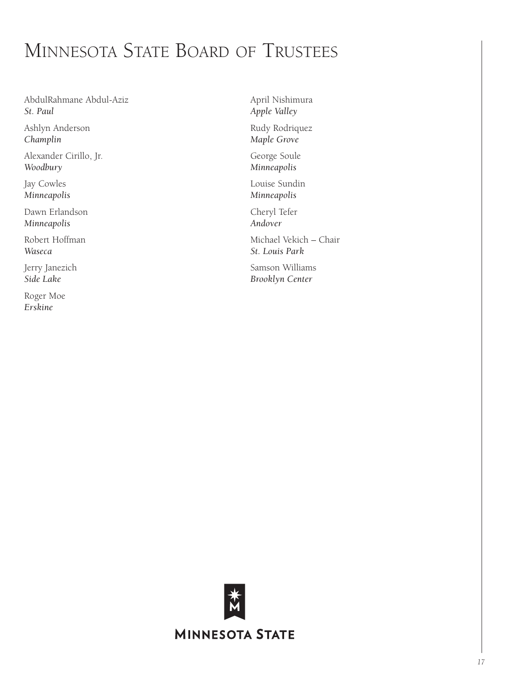# Minnesota State Board of Trustees

AbdulRahmane Abdul-Aziz *St. Paul*

Ashlyn Anderson *Champlin*

Alexander Cirillo, Jr. *Woodbury*

Jay Cowles *Minneapolis*

Dawn Erlandson *Minneapolis*

Robert Hoffman *Waseca*

Jerry Janezich *Side Lake*

Roger Moe *Erskine*

April Nishimura *Apple Valley* Rudy Rodriquez *Maple Grove*

George Soule *Minneapolis*

Louise Sundin *Minneapolis*

Cheryl Tefer *Andover*

Michael Vekich – Chair *St. Louis Park*

Samson Williams *Brooklyn Center*

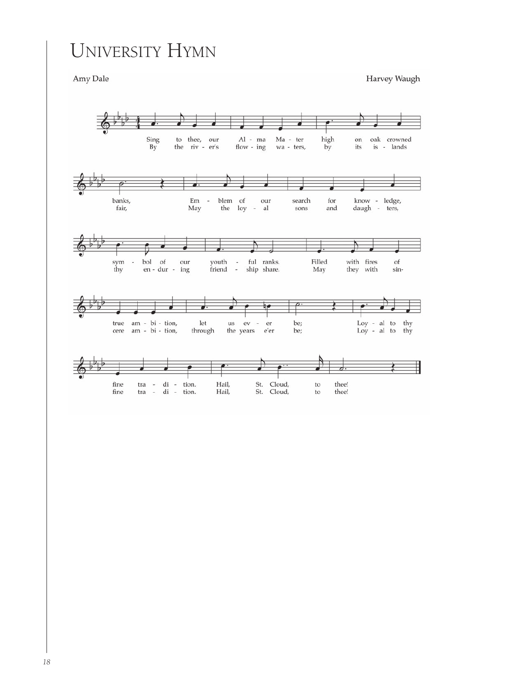# University Hymn